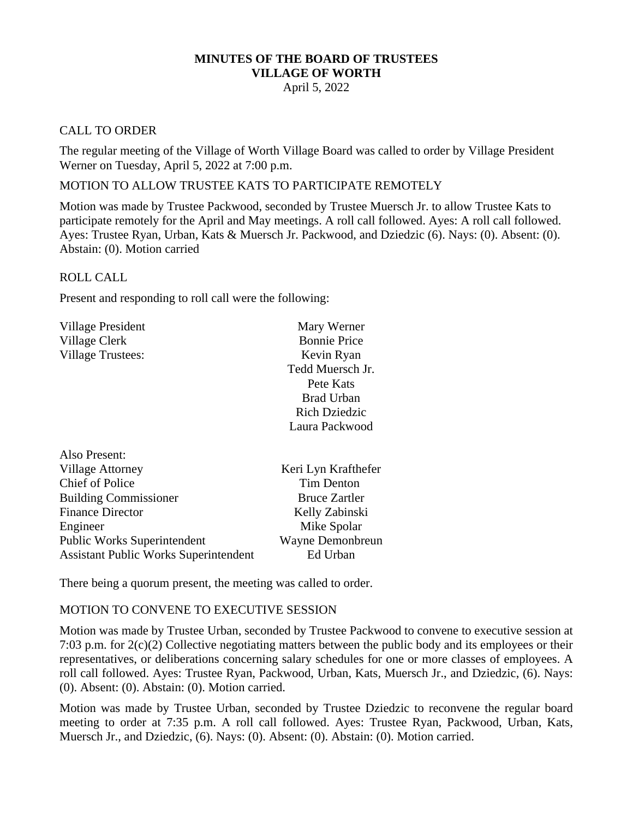# **MINUTES OF THE BOARD OF TRUSTEES VILLAGE OF WORTH**

# April 5, 2022

## CALL TO ORDER

The regular meeting of the Village of Worth Village Board was called to order by Village President Werner on Tuesday, April 5, 2022 at 7:00 p.m.

## MOTION TO ALLOW TRUSTEE KATS TO PARTICIPATE REMOTELY

Motion was made by Trustee Packwood, seconded by Trustee Muersch Jr. to allow Trustee Kats to participate remotely for the April and May meetings. A roll call followed. Ayes: A roll call followed. Ayes: Trustee Ryan, Urban, Kats & Muersch Jr. Packwood, and Dziedzic (6). Nays: (0). Absent: (0). Abstain: (0). Motion carried

#### ROLL CALL

Present and responding to roll call were the following:

| <b>Village President</b>           | Mary Werner          |
|------------------------------------|----------------------|
| Village Clerk                      | <b>Bonnie Price</b>  |
| <b>Village Trustees:</b>           | Kevin Ryan           |
|                                    | Tedd Muersch Jr.     |
|                                    | Pete Kats            |
|                                    | Brad Urban           |
|                                    | <b>Rich Dziedzic</b> |
|                                    | Laura Packwood       |
| Also Present:                      |                      |
| <b>Village Attorney</b>            | Keri Lyn Krafthefer  |
| <b>Chief of Police</b>             | Tim Denton           |
| <b>Building Commissioner</b>       | <b>Bruce Zartler</b> |
| <b>Finance Director</b>            | Kelly Zabinski       |
| Engineer                           | Mike Spolar          |
| <b>Public Works Superintendent</b> | Wayne Demonbreun     |

There being a quorum present, the meeting was called to order.

Assistant Public Works Superintendent Ed Urban

#### MOTION TO CONVENE TO EXECUTIVE SESSION

Motion was made by Trustee Urban, seconded by Trustee Packwood to convene to executive session at 7:03 p.m. for 2(c)(2) Collective negotiating matters between the public body and its employees or their representatives, or deliberations concerning salary schedules for one or more classes of employees. A roll call followed. Ayes: Trustee Ryan, Packwood, Urban, Kats, Muersch Jr., and Dziedzic, (6). Nays: (0). Absent: (0). Abstain: (0). Motion carried.

Motion was made by Trustee Urban, seconded by Trustee Dziedzic to reconvene the regular board meeting to order at 7:35 p.m. A roll call followed. Ayes: Trustee Ryan, Packwood, Urban, Kats, Muersch Jr., and Dziedzic, (6). Nays: (0). Absent: (0). Abstain: (0). Motion carried.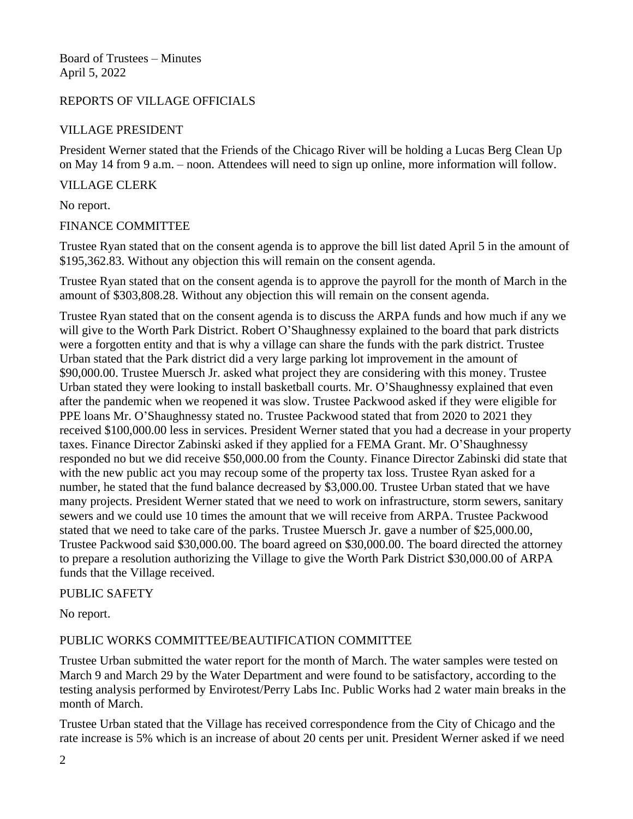## REPORTS OF VILLAGE OFFICIALS

# VILLAGE PRESIDENT

President Werner stated that the Friends of the Chicago River will be holding a Lucas Berg Clean Up on May 14 from 9 a.m. – noon. Attendees will need to sign up online, more information will follow.

## VILLAGE CLERK

No report.

#### FINANCE COMMITTEE

Trustee Ryan stated that on the consent agenda is to approve the bill list dated April 5 in the amount of \$195,362.83. Without any objection this will remain on the consent agenda.

Trustee Ryan stated that on the consent agenda is to approve the payroll for the month of March in the amount of \$303,808.28. Without any objection this will remain on the consent agenda.

Trustee Ryan stated that on the consent agenda is to discuss the ARPA funds and how much if any we will give to the Worth Park District. Robert O'Shaughnessy explained to the board that park districts were a forgotten entity and that is why a village can share the funds with the park district. Trustee Urban stated that the Park district did a very large parking lot improvement in the amount of \$90,000.00. Trustee Muersch Jr. asked what project they are considering with this money. Trustee Urban stated they were looking to install basketball courts. Mr. O'Shaughnessy explained that even after the pandemic when we reopened it was slow. Trustee Packwood asked if they were eligible for PPE loans Mr. O'Shaughnessy stated no. Trustee Packwood stated that from 2020 to 2021 they received \$100,000.00 less in services. President Werner stated that you had a decrease in your property taxes. Finance Director Zabinski asked if they applied for a FEMA Grant. Mr. O'Shaughnessy responded no but we did receive \$50,000.00 from the County. Finance Director Zabinski did state that with the new public act you may recoup some of the property tax loss. Trustee Ryan asked for a number, he stated that the fund balance decreased by \$3,000.00. Trustee Urban stated that we have many projects. President Werner stated that we need to work on infrastructure, storm sewers, sanitary sewers and we could use 10 times the amount that we will receive from ARPA. Trustee Packwood stated that we need to take care of the parks. Trustee Muersch Jr. gave a number of \$25,000.00, Trustee Packwood said \$30,000.00. The board agreed on \$30,000.00. The board directed the attorney to prepare a resolution authorizing the Village to give the Worth Park District \$30,000.00 of ARPA funds that the Village received.

#### PUBLIC SAFETY

No report.

# PUBLIC WORKS COMMITTEE/BEAUTIFICATION COMMITTEE

Trustee Urban submitted the water report for the month of March. The water samples were tested on March 9 and March 29 by the Water Department and were found to be satisfactory, according to the testing analysis performed by Envirotest/Perry Labs Inc. Public Works had 2 water main breaks in the month of March.

Trustee Urban stated that the Village has received correspondence from the City of Chicago and the rate increase is 5% which is an increase of about 20 cents per unit. President Werner asked if we need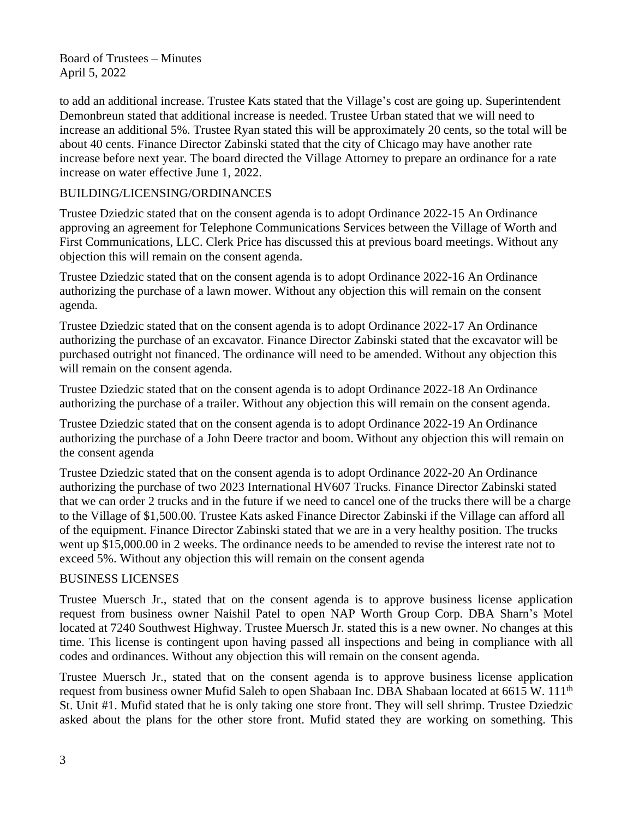to add an additional increase. Trustee Kats stated that the Village's cost are going up. Superintendent Demonbreun stated that additional increase is needed. Trustee Urban stated that we will need to increase an additional 5%. Trustee Ryan stated this will be approximately 20 cents, so the total will be about 40 cents. Finance Director Zabinski stated that the city of Chicago may have another rate increase before next year. The board directed the Village Attorney to prepare an ordinance for a rate increase on water effective June 1, 2022.

# BUILDING/LICENSING/ORDINANCES

Trustee Dziedzic stated that on the consent agenda is to adopt Ordinance 2022-15 An Ordinance approving an agreement for Telephone Communications Services between the Village of Worth and First Communications, LLC. Clerk Price has discussed this at previous board meetings. Without any objection this will remain on the consent agenda.

Trustee Dziedzic stated that on the consent agenda is to adopt Ordinance 2022-16 An Ordinance authorizing the purchase of a lawn mower. Without any objection this will remain on the consent agenda.

Trustee Dziedzic stated that on the consent agenda is to adopt Ordinance 2022-17 An Ordinance authorizing the purchase of an excavator. Finance Director Zabinski stated that the excavator will be purchased outright not financed. The ordinance will need to be amended. Without any objection this will remain on the consent agenda.

Trustee Dziedzic stated that on the consent agenda is to adopt Ordinance 2022-18 An Ordinance authorizing the purchase of a trailer. Without any objection this will remain on the consent agenda.

Trustee Dziedzic stated that on the consent agenda is to adopt Ordinance 2022-19 An Ordinance authorizing the purchase of a John Deere tractor and boom. Without any objection this will remain on the consent agenda

Trustee Dziedzic stated that on the consent agenda is to adopt Ordinance 2022-20 An Ordinance authorizing the purchase of two 2023 International HV607 Trucks. Finance Director Zabinski stated that we can order 2 trucks and in the future if we need to cancel one of the trucks there will be a charge to the Village of \$1,500.00. Trustee Kats asked Finance Director Zabinski if the Village can afford all of the equipment. Finance Director Zabinski stated that we are in a very healthy position. The trucks went up \$15,000.00 in 2 weeks. The ordinance needs to be amended to revise the interest rate not to exceed 5%. Without any objection this will remain on the consent agenda

# BUSINESS LICENSES

Trustee Muersch Jr., stated that on the consent agenda is to approve business license application request from business owner Naishil Patel to open NAP Worth Group Corp. DBA Sharn's Motel located at 7240 Southwest Highway. Trustee Muersch Jr. stated this is a new owner. No changes at this time. This license is contingent upon having passed all inspections and being in compliance with all codes and ordinances. Without any objection this will remain on the consent agenda.

Trustee Muersch Jr., stated that on the consent agenda is to approve business license application request from business owner Mufid Saleh to open Shabaan Inc. DBA Shabaan located at 6615 W. 111<sup>th</sup> St. Unit #1. Mufid stated that he is only taking one store front. They will sell shrimp. Trustee Dziedzic asked about the plans for the other store front. Mufid stated they are working on something. This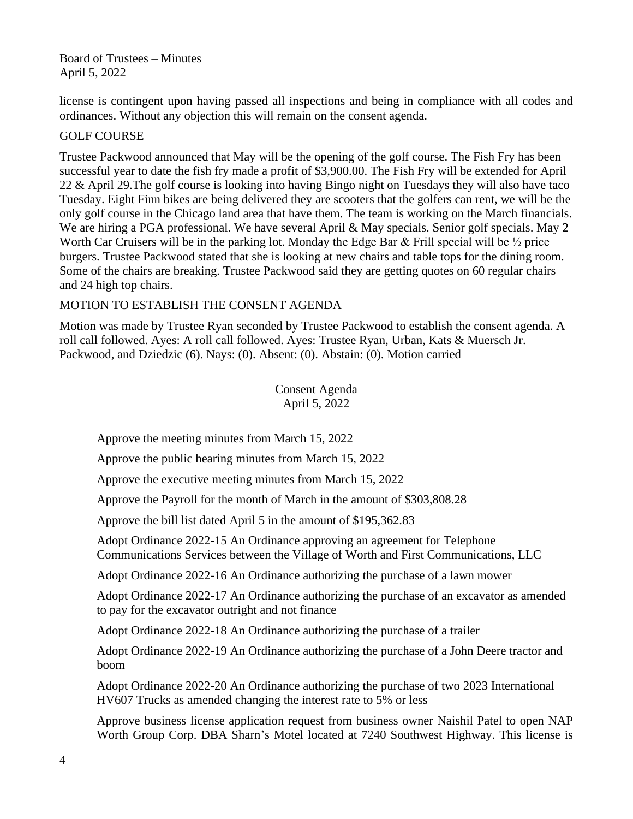license is contingent upon having passed all inspections and being in compliance with all codes and ordinances. Without any objection this will remain on the consent agenda.

# GOLF COURSE

Trustee Packwood announced that May will be the opening of the golf course. The Fish Fry has been successful year to date the fish fry made a profit of \$3,900.00. The Fish Fry will be extended for April 22 & April 29.The golf course is looking into having Bingo night on Tuesdays they will also have taco Tuesday. Eight Finn bikes are being delivered they are scooters that the golfers can rent, we will be the only golf course in the Chicago land area that have them. The team is working on the March financials. We are hiring a PGA professional. We have several April & May specials. Senior golf specials. May 2 Worth Car Cruisers will be in the parking lot. Monday the Edge Bar  $\&$  Frill special will be  $\frac{1}{2}$  price burgers. Trustee Packwood stated that she is looking at new chairs and table tops for the dining room. Some of the chairs are breaking. Trustee Packwood said they are getting quotes on 60 regular chairs and 24 high top chairs.

## MOTION TO ESTABLISH THE CONSENT AGENDA

Motion was made by Trustee Ryan seconded by Trustee Packwood to establish the consent agenda. A roll call followed. Ayes: A roll call followed. Ayes: Trustee Ryan, Urban, Kats & Muersch Jr. Packwood, and Dziedzic (6). Nays: (0). Absent: (0). Abstain: (0). Motion carried

> Consent Agenda April 5, 2022

Approve the meeting minutes from March 15, 2022

Approve the public hearing minutes from March 15, 2022

Approve the executive meeting minutes from March 15, 2022

Approve the Payroll for the month of March in the amount of \$303,808.28

Approve the bill list dated April 5 in the amount of \$195,362.83

Adopt Ordinance 2022-15 An Ordinance approving an agreement for Telephone Communications Services between the Village of Worth and First Communications, LLC

Adopt Ordinance 2022-16 An Ordinance authorizing the purchase of a lawn mower

Adopt Ordinance 2022-17 An Ordinance authorizing the purchase of an excavator as amended to pay for the excavator outright and not finance

Adopt Ordinance 2022-18 An Ordinance authorizing the purchase of a trailer

Adopt Ordinance 2022-19 An Ordinance authorizing the purchase of a John Deere tractor and boom

Adopt Ordinance 2022-20 An Ordinance authorizing the purchase of two 2023 International HV607 Trucks as amended changing the interest rate to 5% or less

Approve business license application request from business owner Naishil Patel to open NAP Worth Group Corp. DBA Sharn's Motel located at 7240 Southwest Highway. This license is